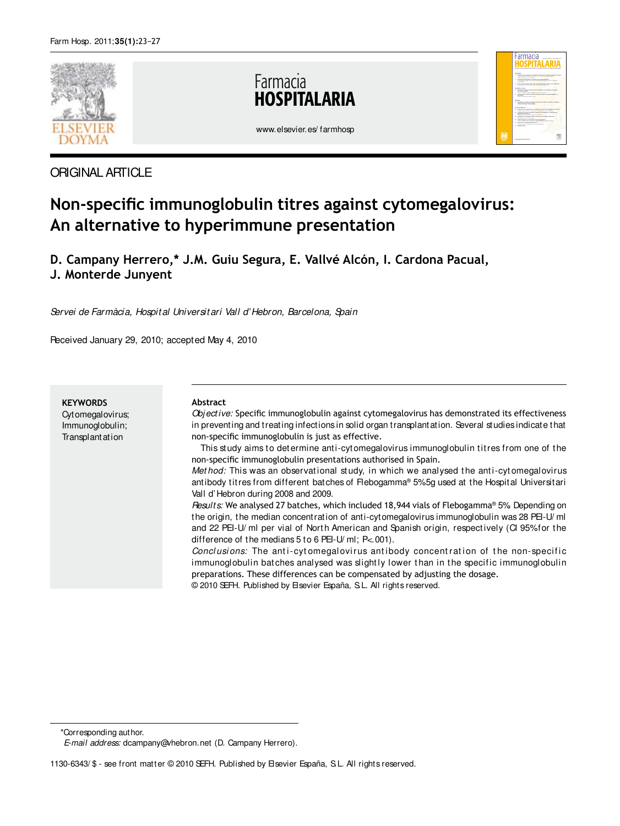

ORIGINAL ARTICLE

# Farmacia **ITAL ARIA**



www.elsevier.es/ farmhosp

# **Non-specific immunoglobulin titres against cytomegalovirus: An alternative to hyperimmune presentation**

**D. Campany Herrero,\* J.M. Guiu Segura, E. Vallvé Alcón, I. Cardona Pacual, J. Monterde Junyent**

Servei de Farmàcia, Hospital Universitari Vall d' Hebron, Barcelona, Spain

Received January 29, 2010; accepted May 4, 2010

**KEYWORDS** Cytomegalovirus; Immunoglobulin; **Transplantation** 

#### **Abstract**

Objective: Specific immunoglobulin against cytomegalovirus has demonstrated its effectiveness in preventing and treating infections in solid organ transplantation. Several studies indicate that non-specific immunoglobulin is just as effective.

This study aims to determine anti-cytomegalovirus immunoglobulin titres from one of the non-specific immunoglobulin presentations authorised in Spain.

Met hod: This was an observational study, in which we analysed the anti-cytomegalovirus antibody titres from different batches of Flebogamma ® 5% 5g used at the Hospital Universitari Vall d' Hebron during 2008 and 2009.

Results: We analysed 27 batches, which included 18,944 vials of Flebogamma® 5%. Depending on the origin, the median concentration of anti-cytomegalovirus immunoglobulin was 28 PEI-U/ ml and 22 PEI-U/ ml per vial of North American and Spanish origin, respectively (CI 95% for the difference of the medians 5 to 6 PEI-U/ ml; P<.001).

Conclusions: The anti-cytomegalovirus antibody concentration of the non-specific immunoglobulin batches analysed was slightly lower than in the specific immunoglobulin preparations. These differences can be compensated by adjusting the dosage.

© 2010 SEFH. Published by Elsevier España, S.L. All rights reserved.

<sup>\*</sup>Corresponding author.

E-mail address: dcampany@vhebron.net (D. Campany Herrero).

<sup>1130-6343/ \$ -</sup> see front matter © 2010 SEFH. Published by Elsevier España, S.L. All rights reserved.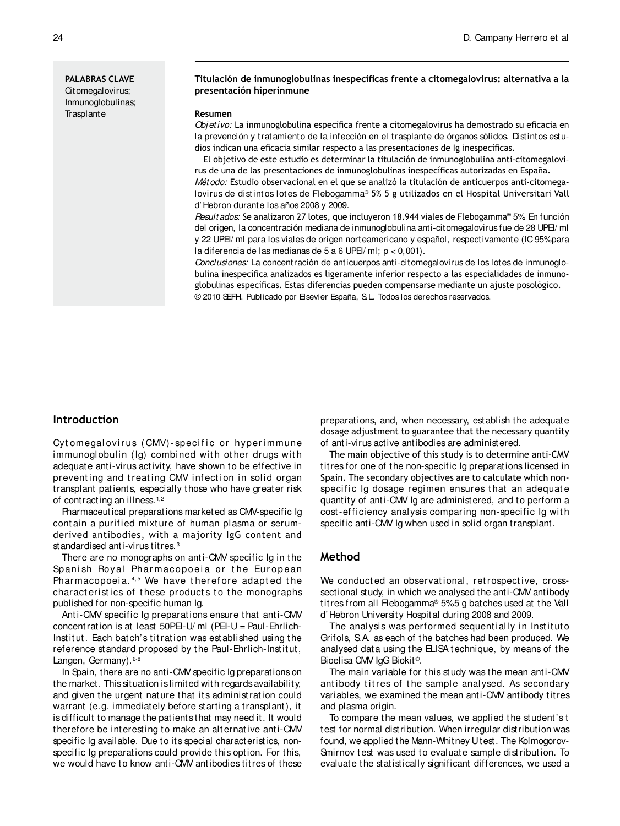**PALABRAS CLAVE** Citomegalovirus; Inmunoglobulinas; **Trasplante** 

#### **Titulación de inmunoglobulinas inespecíicas frente a citomegalovirus: alternativa a la presentación hiperinmune**

#### **Resumen**

Obj etivo: La inmunoglobulina específica frente a citomegalovirus ha demostrado su eficacia en la prevención y tratamiento de la infección en el trasplante de órganos sólidos. Distintos estudios indican una eficacia similar respecto a las presentaciones de Ig inespecíficas.

El objetivo de este estudio es determinar la titulación de inmunoglobulina anti-citomegalovirus de una de las presentaciones de inmunoglobulinas inespecíficas autorizadas en España. Mét odo: Estudio observacional en el que se analizó la titulación de anticuerpos anti-citomega-

lovirus de dist int os lot es de Flebogamma® 5% 5 g utilizados en el Hospital Universitari Vall d' Hebron durante los años 2008 y 2009.

Resultados: Se analizaron 27 lotes, que incluyeron 18.944 viales de Flebogamma® 5%. En función del origen, la concentración mediana de inmunoglobulina anti-citomegalovirus fue de 28 UPEI/ ml y 22 UPEI/ ml para los viales de origen norteamericano y español, respectivamente (IC 95% para la diferencia de las medianas de 5 a 6 UPEI/ ml; p < 0,001).

Conclusiones: La concentración de anticuerpos anti-citomegalovirus de los lotes de inmunoglobulina inespecífica analizados es ligeramente inferior respecto a las especialidades de inmunoglobulinas especíicas. Estas diferencias pueden compensarse mediante un ajuste posológico. © 2010 SEFH. Publicado por Elsevier España, S.L. Todos los derechos reservados.

## **Introduction**

Cytomegal ovirus (CMV)-specific or hyperimmune immunoglobulin (Ig) combined with other drugs with adequate anti-virus activity, have shown to be effective in preventing and treating CMV infection in solid organ transplant patients, especially those who have greater risk of contracting an illness.<sup>1,2</sup>

Pharmaceutical preparations marketed as CMV-specific Ig cont ain a purified mixt ure of human plasma or serumderived antibodies, with a majority IgG content and standardised anti-virus titres. <sup>3</sup>

There are no monographs on anti-CMV specific Ig in the Spanish Royal Pharmacopoeia or the European Pharmacopoeia.<sup>4,5</sup> We have therefore adapted the characteristics of these products to the monographs published for non-specific human Ig.

Anti-CMV specific Ig preparations ensure that anti-CMV concentration is at least 50PEI-U/ ml (PEI-U = Paul-Ehrlich-Inst it ut . Each bat ch's t it rat ion was est ablished using t he reference standard proposed by the Paul-Ehrlich-Institut, Langen, Germany). 6-8

In Spain, there are no anti-CMV specific Ig preparations on the market. This situation is limited with regards availability, and given the urgent nature that its administration could warrant (e.g. immediately before starting a transplant), it is difficult to manage the patients that may need it. It would therefore be interesting to make an alternative anti-CMV specific Ig available. Due to its special characteristics, nonspecific Ig preparations could provide this option. For this, we would have to know anti-CMV antibodies titres of these preparations, and, when necessary, establish the adequate dosage adjustment to guarantee that the necessary quantity of anti-virus active antibodies are administered.

The main objective of this study is to determine anti-CMV titres for one of the non-specific Ig preparations licensed in Spain. The secondary objectives are to calculate which nonspecific Ig dosage regimen ensures that an adequate quantity of anti-CMV Ig are administered, and to perform a cost -efficiency analysis comparing non-specific Ig wit h specific anti-CMV Ig when used in solid organ transplant.

# **Method**

We conducted an observational, retrospective, crosssectional study, in which we analysed the anti-CMV antibody titres from all Flebogamma® 5% 5 g batches used at the Vall d' Hebron University Hospital during 2008 and 2009.

The analysis was performed sequentially in Instituto Grifols, S.A. as each of the batches had been produced. We analysed data using the ELISA technique, by means of the Bioelisa CMV IgG Biokit<sup>®</sup>.

The main variable for this study was the mean anti-CMV antibody titres of the sample analysed. As secondary variables, we examined the mean anti-CMV antibody titres and plasma origin.

To compare the mean values, we applied the student's t test for normal distribution. When irregular distribution was found, we applied the Mann-Whitney U test. The Kolmogorov-Smirnov test was used to evaluate sample distribution. To evaluate the statistically significant differences, we used a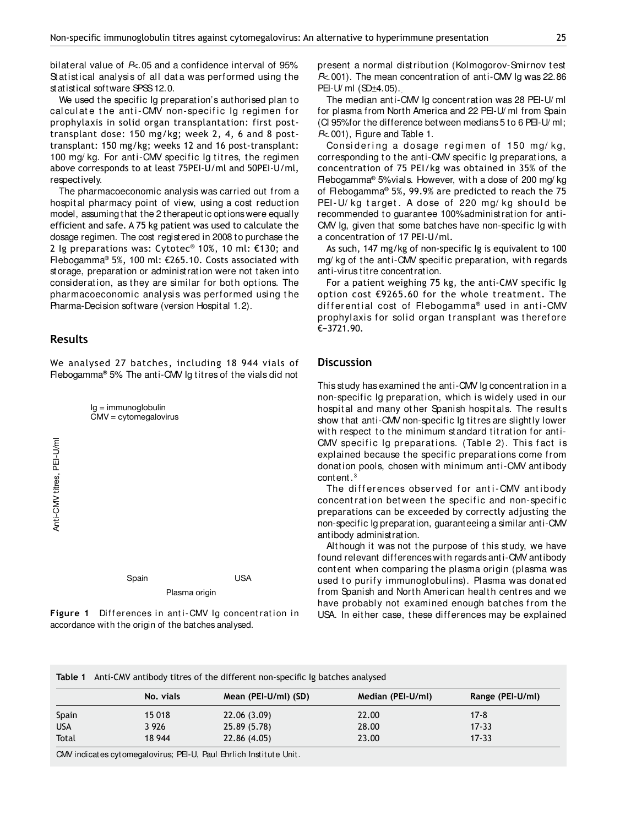bilateral value of  $P<sub>5</sub>$ .05 and a confidence interval of 95% Statistical analysis of all data was performed using the statistical software SPSS 12.0.

We used the specific Ig preparation's authorised plan to cal culate the anti-CMV non-specific Ig regimen for prophylaxis in solid organ transplantation: first posttransplant dose: 150 mg/kg; week 2, 4, 6 and 8 posttransplant: 150 mg/kg; weeks 12 and 16 post-transplant: 100 mg/ kg. For anti-CMV specific Ig titres, the regimen above corresponds to at least 75PEI-U/ml and 50PEI-U/ml, respectively.

The pharmacoeconomic analysis was carried out from a hospital pharmacy point of view, using a cost reduction model, assuming that the 2 therapeutic options were equally efficient and safe. A 75 kg patient was used to calculate the dosage regimen. The cost registered in 2008 to purchase the 2 Ig preparations was: Cytotec® 10%, 10 ml: €130; and Flebogamma® 5%, 100 ml: €265.10. Costs associated with storage, preparation or administration were not taken into consideration, as they are similar for both options. The pharmacoeconomic analysis was performed using the Pharma-Decision software (version Hospital 1.2).

## **Results**

We analysed 27 batches, including 18 944 vials of Flebogamma® 5%. The anti-CMV Ig titres of the vials did not



Figure 1 Differences in anti-CMV Ig concentration in

present a normal distribution (Kolmogorov-Smirnov test P<.001). The mean concentration of anti-CMV Ig was 22.86 PEI-U/ ml (SD±4.05)..

The median anti-CMV Ig concentration was 28 PEI-U/ ml for plasma from North America and 22 PEI-U/ ml from Spain (CI 95% for the difference between medians  $5$  to  $6$  PEI-U/ml; P<.001), Figure and Table 1.

Considering a dosage regimen of 150 mg/kg, corresponding to the anti-CMV specific Ig preparations, a concentration of 75 PEI/kg was obtained in 35% of the Flebogamma® 5% vials. However, with a dose of 200 mg/ kg of Flebogamma® 5%, 99.9% are predicted to reach the 75 PEI-U/ kg target. A dose of 220 mg/ kg should be recommended to guarantee 100% administration for anti-CMV Ig, given that some batches have non-specific Ig with a concentration of 17 PEI-U/ml.

As such, 147 mg/kg of non-specific Ig is equivalent to 100 mg/ kg of the anti-CMV specific preparation, with regards anti-virus titre concentration.

For a patient weighing 75 kg, the anti-CMV specific Ig option cost €9265.60 for the whole treatment. The differential cost of Flebogamma® used in anti-CMV prophylaxis for solid organ transplant was therefore €−3721.90.

## **Discussion**

This study has examined the anti-CMV Ig concentration in a non-specific Ig preparat ion, which is widely used in our hospit al and many ot her Spanish hospit als. The result s show that anti-CMV non-specific Ig titres are slightly lower with respect to the minimum standard titration for anti-CMV specific Ig preparations. (Table 2). This fact is explained because the specific preparations come from donation pools, chosen with minimum anti-CMV antibody content. <sup>3</sup>

The differences observed for anti-CMV antibody concent rat ion bet ween t he specif ic and non-specif ic preparations can be exceeded by correctly adjusting the non-specific Ig preparation, guaranteeing a similar anti-CMV antibody administration.

Although it was not the purpose of this study, we have found relevant differences with regards anti-CMV antibody content when comparing the plasma origin (plasma was used to purify immunoglobulins). Plasma was donated from Spanish and North American health centres and we have probably not examined enough batches from the USA. In either case, these differences may be explained

| Table 1 Anti-CMV antibody titres of the different non-specific Ig batches analysed |
|------------------------------------------------------------------------------------|
|------------------------------------------------------------------------------------|

|            | No. vials | Mean (PEI-U/ml) (SD) | Median (PEI-U/ml) | Range (PEI-U/ml) |
|------------|-----------|----------------------|-------------------|------------------|
| Spain      | 15 018    | 22.06 (3.09)         | 22.00             | $17 - 8$         |
| <b>USA</b> | 3 9 2 6   | 25.89 (5.78)         | 28.00             | $17 - 33$        |
| Total      | 18 944    | 22.86 (4.05)         | 23.00             | $17 - 33$        |

CMV indicates cytomegalovirus; PEI-U, Paul Ehrlich Institute Unit.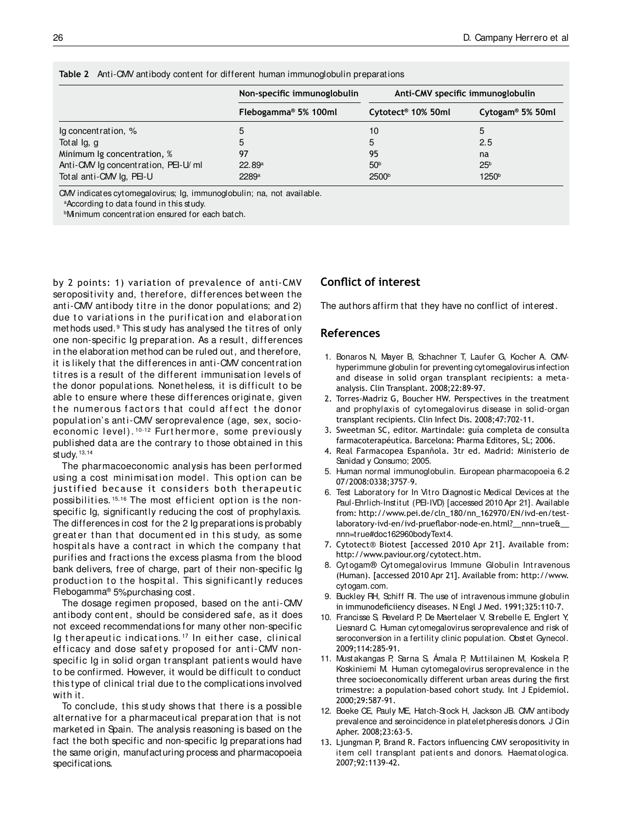| <b>TADIC 2</b> TWILL ONLY ARENOUS CONTOINER TOP UNLIGHT HARRY HISTORICO CONTENTS OF CONTRACTORS |                                  |                                  |                              |  |  |  |
|-------------------------------------------------------------------------------------------------|----------------------------------|----------------------------------|------------------------------|--|--|--|
|                                                                                                 | Non-specific immunoglobulin      | Anti-CMV specific immunoglobulin |                              |  |  |  |
|                                                                                                 | Flebogamma <sup>®</sup> 5% 100ml | Cytotect <sup>®</sup> 10% 50ml   | Cytogam <sup>®</sup> 5% 50ml |  |  |  |
| Ig concentration, %                                                                             |                                  | 10                               | 5                            |  |  |  |
| Total Ig, g                                                                                     |                                  | 5                                | 2.5                          |  |  |  |
| Minimum Ig concentration, %                                                                     | 97                               | 95                               | na                           |  |  |  |
| Anti-CMV Ig concentration, PEI-U/ml                                                             | 22.89 <sup>a</sup>               | 50 <sup>b</sup>                  | 25 <sup>b</sup>              |  |  |  |
| Total anti-CMV Ig, PEI-U                                                                        | 2289 <sup>a</sup>                | 2500 <sup>b</sup>                | 1250 <sup>b</sup>            |  |  |  |

**Table 2** Anti-CMV antibody content for different human immunoglobulin preparations

CMV indicates cytomegalovirus; Ig, immunoglobulin; na, not available.

a According to data found in this study.

**Minimum concentration ensured for each batch.** 

by 2 points: 1) variation of prevalence of anti-CMV seropositivity and, therefore, differences between the anti-CMV antibody titre in the donor populations; and 2) due to variations in the purification and elaboration methods used.<sup>9</sup> This study has analysed the titres of only one non-specific Ig preparation. As a result, differences in the elaboration method can be ruled out, and therefore, it is likely that the differences in anti-CMV concentration titres is a result of the different immunisation levels of the donor populations. Nonetheless, it is difficult to be able to ensure where these differences originate, given the numerous factors that could affect the donor populat ion's ant i-CMV seroprevalence (age, sex, socioeconomic level). <sup>10-12</sup> Furt hermore, some previously published data are the contrary to those obtained in this study.  $13,14$ 

The pharmacoeconomic analysis has been performed using a cost minimisation model. This option can be justified because it considers both therapeutic possibilities.<sup>15,16</sup> The most efficient option is the nonspecific Ig, significantly reducing the cost of prophylaxis. The differences in cost for the 2 Ig preparations is probably greater than that documented in this study, as some hospitals have a contract in which the company that purifies and fractions the excess plasma from the blood bank delivers, free of charge, part of their non-specific Ig production to the hospital. This significantly reduces Flebogamma® 5% purchasing cost.

The dosage regimen proposed, based on the anti-CMV antibody content, should be considered safe, as it does not exceed recommendations for many other non-specific Ig therapeutic indications.<sup>17</sup> In either case, clinical efficacy and dose safety proposed for anti-CMV nonspecific Ig in solid organ transplant patients would have to be confirmed. However, it would be difficult to conduct this type of clinical trial due to the complications involved with it.

To conclude, t his st udy shows t hat t here is a possible alternative for a pharmaceutical preparation that is not marketed in Spain. The analysis reasoning is based on the fact the both specific and non-specific Ig preparations had the same origin, manufacturing process and pharmacopoeia specifications.

## **Conlict of interest**

The authors affirm that they have no conflict of interest.

## **References**

- 1. Bonaros N, Mayer B, Schachner T, Laufer G, Kocher A. CMVhyperimmune globulin for preventing cytomegalovirus infection and disease in solid organ transplant recipients: a metaanalysis. Clin Transplant. 2008;22:89-97.
- 2. Torres-Madriz G, Boucher HW. Perspectives in the treatment and prophylaxis of cyt omegalovirus disease in solid-organ transplant recipients. Clin Infect Dis. 2008;47:702-11.
- 3. Sweetman SC, editor. Martindale: guía completa de consulta farmacoterapéutica. Barcelona: Pharma Editores, SL; 2006.
- 4. Real Farmacopea Espanñola. 3tr ed. Madrid: Ministerio de Sanidad y Consumo; 2005.
- 5. Human normal immunoglobulin. European pharmacopoeia 6.2 07/2008:0338;3757–9.
- 6. Test Laboratory for In Vitro Diagnostic Medical Devices at the Paul-Ehrlich-Institut (PEI-IVD) [accessed 2010 Apr 21]. Available from: http://www.pei.de/cln\_180/nn\_162970/EN/ivd-en/testlaboratory-ivd-en/ivd-prueflabor-node-en.html? nnn=true& nnn=true#doc162960bodyText4.
- 7. Cytotect® Biotest [accessed 2010 Apr 21]. Available from: http://www.paviour.org/cytotect.htm.
- 8. Cyt ogam® Cyt omegalovirus Immune Globulin Int ravenous (Human). [accessed 2010 Apr 21]. Available from: http://www. cytogam.com.
- 9. Buckley RH, Schiff RI. The use of intravenous immune globulin in immunodeficiiency diseases. N Engl J Med. 1991;325:110-7.
- 10. Francisse S, Revelard P, De Maertelaer V, Strebelle E, Englert Y, Liesnard C. Human cytomegalovirus seroprevalence and risk of seroconversion in a fertility clinic population. Obstet Gynecol. 2009;114:285-91.
- 11. Must akangas P, Sarna S, Ámala P, Muttilainen M, Koskela P, Koskiniemi M. Human cytomegalovirus seroprevalence in the three socioeconomically different urban areas during the first trimestre: a population-based cohort study. Int J Epidemiol. 2000;29:587-91.
- 12. Boeke CE, Pauly ME, Hatch-Stock H, Jackson JB. CMV antibody prevalence and seroincidence in plateletpheresis donors. J Clin Apher. 2008;23:63-5.
- 13. Ljungman P, Brand R. Factors influencing CMV seropositivity in item cell transplant patients and donors. Haematologica. 2007;92:1139-42.